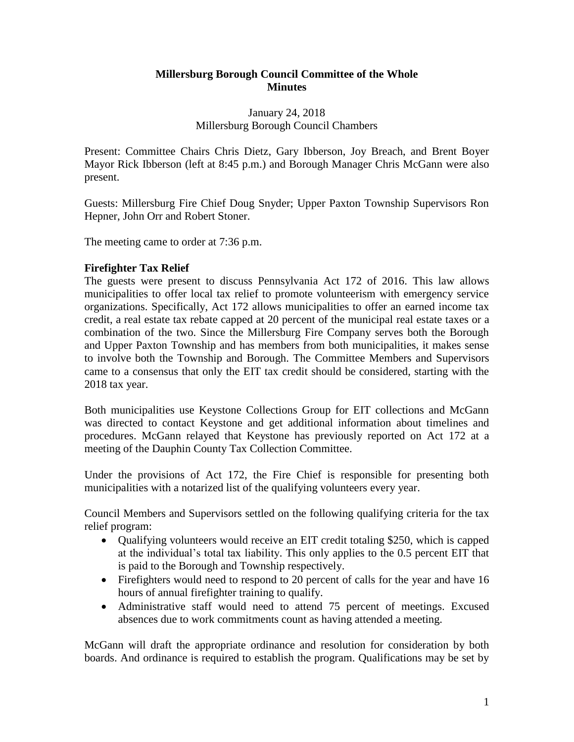# **Millersburg Borough Council Committee of the Whole Minutes**

# January 24, 2018 Millersburg Borough Council Chambers

Present: Committee Chairs Chris Dietz, Gary Ibberson, Joy Breach, and Brent Boyer Mayor Rick Ibberson (left at 8:45 p.m.) and Borough Manager Chris McGann were also present.

Guests: Millersburg Fire Chief Doug Snyder; Upper Paxton Township Supervisors Ron Hepner, John Orr and Robert Stoner.

The meeting came to order at 7:36 p.m.

# **Firefighter Tax Relief**

The guests were present to discuss Pennsylvania Act 172 of 2016. This law allows municipalities to offer local tax relief to promote volunteerism with emergency service organizations. Specifically, Act 172 allows municipalities to offer an earned income tax credit, a real estate tax rebate capped at 20 percent of the municipal real estate taxes or a combination of the two. Since the Millersburg Fire Company serves both the Borough and Upper Paxton Township and has members from both municipalities, it makes sense to involve both the Township and Borough. The Committee Members and Supervisors came to a consensus that only the EIT tax credit should be considered, starting with the 2018 tax year.

Both municipalities use Keystone Collections Group for EIT collections and McGann was directed to contact Keystone and get additional information about timelines and procedures. McGann relayed that Keystone has previously reported on Act 172 at a meeting of the Dauphin County Tax Collection Committee.

Under the provisions of Act 172, the Fire Chief is responsible for presenting both municipalities with a notarized list of the qualifying volunteers every year.

Council Members and Supervisors settled on the following qualifying criteria for the tax relief program:

- Qualifying volunteers would receive an EIT credit totaling \$250, which is capped at the individual's total tax liability. This only applies to the 0.5 percent EIT that is paid to the Borough and Township respectively.
- Firefighters would need to respond to 20 percent of calls for the year and have 16 hours of annual firefighter training to qualify.
- Administrative staff would need to attend 75 percent of meetings. Excused absences due to work commitments count as having attended a meeting.

McGann will draft the appropriate ordinance and resolution for consideration by both boards. And ordinance is required to establish the program. Qualifications may be set by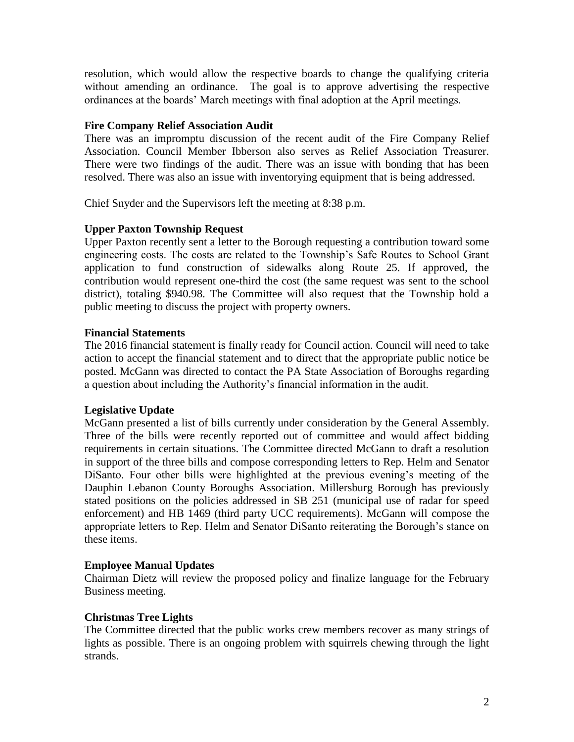resolution, which would allow the respective boards to change the qualifying criteria without amending an ordinance. The goal is to approve advertising the respective ordinances at the boards' March meetings with final adoption at the April meetings.

# **Fire Company Relief Association Audit**

There was an impromptu discussion of the recent audit of the Fire Company Relief Association. Council Member Ibberson also serves as Relief Association Treasurer. There were two findings of the audit. There was an issue with bonding that has been resolved. There was also an issue with inventorying equipment that is being addressed.

Chief Snyder and the Supervisors left the meeting at 8:38 p.m.

# **Upper Paxton Township Request**

Upper Paxton recently sent a letter to the Borough requesting a contribution toward some engineering costs. The costs are related to the Township's Safe Routes to School Grant application to fund construction of sidewalks along Route 25. If approved, the contribution would represent one-third the cost (the same request was sent to the school district), totaling \$940.98. The Committee will also request that the Township hold a public meeting to discuss the project with property owners.

# **Financial Statements**

The 2016 financial statement is finally ready for Council action. Council will need to take action to accept the financial statement and to direct that the appropriate public notice be posted. McGann was directed to contact the PA State Association of Boroughs regarding a question about including the Authority's financial information in the audit.

## **Legislative Update**

McGann presented a list of bills currently under consideration by the General Assembly. Three of the bills were recently reported out of committee and would affect bidding requirements in certain situations. The Committee directed McGann to draft a resolution in support of the three bills and compose corresponding letters to Rep. Helm and Senator DiSanto. Four other bills were highlighted at the previous evening's meeting of the Dauphin Lebanon County Boroughs Association. Millersburg Borough has previously stated positions on the policies addressed in SB 251 (municipal use of radar for speed enforcement) and HB 1469 (third party UCC requirements). McGann will compose the appropriate letters to Rep. Helm and Senator DiSanto reiterating the Borough's stance on these items.

## **Employee Manual Updates**

Chairman Dietz will review the proposed policy and finalize language for the February Business meeting.

# **Christmas Tree Lights**

The Committee directed that the public works crew members recover as many strings of lights as possible. There is an ongoing problem with squirrels chewing through the light strands.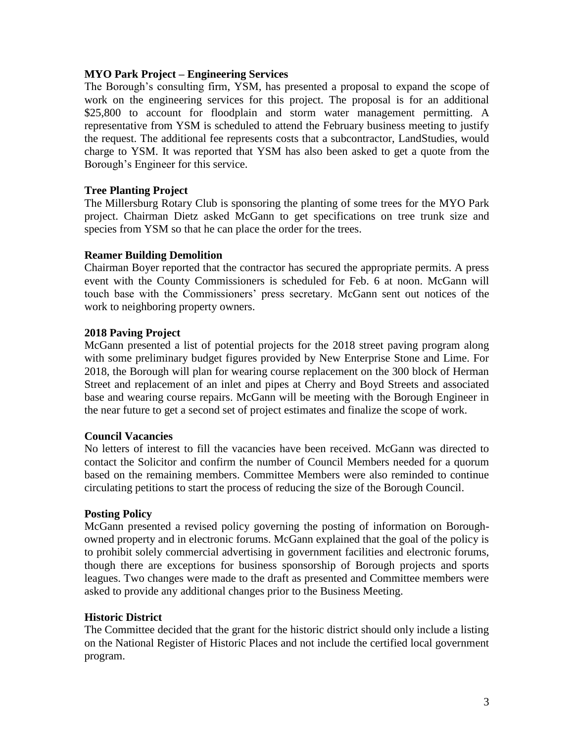## **MYO Park Project – Engineering Services**

The Borough's consulting firm, YSM, has presented a proposal to expand the scope of work on the engineering services for this project. The proposal is for an additional \$25,800 to account for floodplain and storm water management permitting. A representative from YSM is scheduled to attend the February business meeting to justify the request. The additional fee represents costs that a subcontractor, LandStudies, would charge to YSM. It was reported that YSM has also been asked to get a quote from the Borough's Engineer for this service.

#### **Tree Planting Project**

The Millersburg Rotary Club is sponsoring the planting of some trees for the MYO Park project. Chairman Dietz asked McGann to get specifications on tree trunk size and species from YSM so that he can place the order for the trees.

#### **Reamer Building Demolition**

Chairman Boyer reported that the contractor has secured the appropriate permits. A press event with the County Commissioners is scheduled for Feb. 6 at noon. McGann will touch base with the Commissioners' press secretary. McGann sent out notices of the work to neighboring property owners.

#### **2018 Paving Project**

McGann presented a list of potential projects for the 2018 street paving program along with some preliminary budget figures provided by New Enterprise Stone and Lime. For 2018, the Borough will plan for wearing course replacement on the 300 block of Herman Street and replacement of an inlet and pipes at Cherry and Boyd Streets and associated base and wearing course repairs. McGann will be meeting with the Borough Engineer in the near future to get a second set of project estimates and finalize the scope of work.

## **Council Vacancies**

No letters of interest to fill the vacancies have been received. McGann was directed to contact the Solicitor and confirm the number of Council Members needed for a quorum based on the remaining members. Committee Members were also reminded to continue circulating petitions to start the process of reducing the size of the Borough Council.

## **Posting Policy**

McGann presented a revised policy governing the posting of information on Boroughowned property and in electronic forums. McGann explained that the goal of the policy is to prohibit solely commercial advertising in government facilities and electronic forums, though there are exceptions for business sponsorship of Borough projects and sports leagues. Two changes were made to the draft as presented and Committee members were asked to provide any additional changes prior to the Business Meeting.

## **Historic District**

The Committee decided that the grant for the historic district should only include a listing on the National Register of Historic Places and not include the certified local government program.